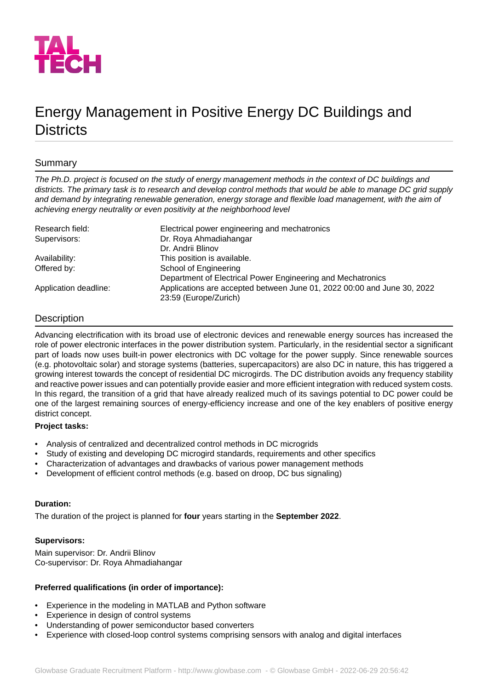

# Energy Management in Positive Energy DC Buildings and **Districts**

# Summary

*The Ph.D. project is focused on the study of energy management methods in the context of DC buildings and districts. The primary task is to research and develop control methods that would be able to manage DC grid supply and demand by integrating renewable generation, energy storage and flexible load management, with the aim of achieving energy neutrality or even positivity at the neighborhood level*

| Research field:       | Electrical power engineering and mechatronics                           |
|-----------------------|-------------------------------------------------------------------------|
| Supervisors:          | Dr. Roya Ahmadiahangar                                                  |
|                       | Dr. Andrii Blinov                                                       |
| Availability:         | This position is available.                                             |
| Offered by:           | School of Engineering                                                   |
|                       | Department of Electrical Power Engineering and Mechatronics             |
| Application deadline: | Applications are accepted between June 01, 2022 00:00 and June 30, 2022 |
|                       | 23:59 (Europe/Zurich)                                                   |

# **Description**

Advancing electrification with its broad use of electronic devices and renewable energy sources has increased the role of power electronic interfaces in the power distribution system. Particularly, in the residential sector a significant part of loads now uses built-in power electronics with DC voltage for the power supply. Since renewable sources (e.g. photovoltaic solar) and storage systems (batteries, supercapacitors) are also DC in nature, this has triggered a growing interest towards the concept of residential DC microgirds. The DC distribution avoids any frequency stability and reactive power issues and can potentially provide easier and more efficient integration with reduced system costs. In this regard, the transition of a grid that have already realized much of its savings potential to DC power could be one of the largest remaining sources of energy-efficiency increase and one of the key enablers of positive energy district concept.

## **Project tasks:**

- Analysis of centralized and decentralized control methods in DC microgrids
- Study of existing and developing DC microgird standards, requirements and other specifics
- Characterization of advantages and drawbacks of various power management methods
- Development of efficient control methods (e.g. based on droop, DC bus signaling)

#### **Duration:**

The duration of the project is planned for **four** years starting in the **September 2022**.

## **Supervisors:**

Main supervisor: Dr. Andrii Blinov Co-supervisor: Dr. Roya Ahmadiahangar

# **Preferred qualifications (in order of importance):**

- Experience in the modeling in MATLAB and Python software
- Experience in design of control systems
- Understanding of power semiconductor based converters
- Experience with closed-loop control systems comprising sensors with analog and digital interfaces